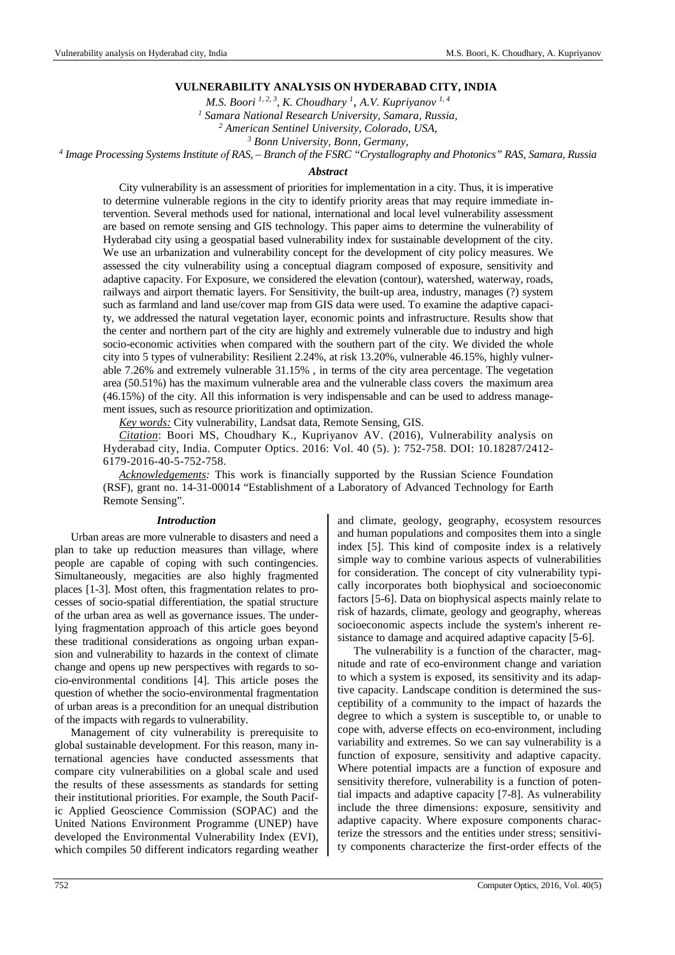# **VULNERABILITY ANALYSIS ON HYDERABAD CITY, INDIA**

*M.S. Boori*<sup>1, 2, 3</sup>, *K. Choudhary*<sup>1</sup>, *A.V. Kupriyanov*<sup>1, 4</sup>

*1 Samara National Research University, Samara, Russia,* 

*2 American Sentinel University, Colorado, USA,* 

*3 Bonn University, Bonn, Germany,* 

*4 Image Processing Systems Institute оf RAS, – Branch of the FSRC "Crystallography and Photonics" RAS, Samara, Russia* 

## *Abstract*

City vulnerability is an assessment of priorities for implementation in a city. Thus, it is imperative to determine vulnerable regions in the city to identify priority areas that may require immediate intervention. Several methods used for national, international and local level vulnerability assessment are based on remote sensing and GIS technology. This paper aims to determine the vulnerability of Hyderabad city using a geospatial based vulnerability index for sustainable development of the city. We use an urbanization and vulnerability concept for the development of city policy measures. We assessed the city vulnerability using a conceptual diagram composed of exposure, sensitivity and adaptive capacity. For Exposure, we considered the elevation (contour), watershed, waterway, roads, railways and airport thematic layers. For Sensitivity, the built-up area, industry, manages (?) system such as farmland and land use/cover map from GIS data were used. To examine the adaptive capacity, we addressed the natural vegetation layer, economic points and infrastructure. Results show that the center and northern part of the city are highly and extremely vulnerable due to industry and high socio-economic activities when compared with the southern part of the city. We divided the whole city into 5 types of vulnerability: Resilient 2.24%, at risk 13.20%, vulnerable 46.15%, highly vulnerable 7.26% and extremely vulnerable 31.15% , in terms of the city area percentage. The vegetation area (50.51%) has the maximum vulnerable area and the vulnerable class covers the maximum area (46.15%) of the city. All this information is very indispensable and can be used to address management issues, such as resource prioritization and optimization.

*Key words:* City vulnerability, Landsat data, Remote Sensing, GIS.

*Citation*: Boori MS, Choudhary K., Kupriyanov AV. (2016), Vulnerability analysis on Hyderabad city, India. Computer Optics. 2016: Vol. 40 (5). ): 752-758. DOI: 10.18287/2412- 6179-2016-40-5-752-758.

*Acknowledgements:* This work is financially supported by the Russian Science Foundation (RSF), grant no. 14-31-00014 "Establishment of a Laboratory of Advanced Technology for Earth Remote Sensing".

#### *Introduction*

Urban areas are more vulnerable to disasters and need a plan to take up reduction measures than village, where people are capable of coping with such contingencies. Simultaneously, megacities are also highly fragmented places [1-3]. Most often, this fragmentation relates to processes of socio-spatial differentiation, the spatial structure of the urban area as well as governance issues. The underlying fragmentation approach of this article goes beyond these traditional considerations as ongoing urban expansion and vulnerability to hazards in the context of climate change and opens up new perspectives with regards to socio-environmental conditions [4]. This article poses the question of whether the socio-environmental fragmentation of urban areas is a precondition for an unequal distribution of the impacts with regards to vulnerability.

Management of city vulnerability is prerequisite to global sustainable development. For this reason, many international agencies have conducted assessments that compare city vulnerabilities on a global scale and used the results of these assessments as standards for setting their institutional priorities. For example, the South Pacific Applied Geoscience Commission (SOPAC) and the United Nations Environment Programme (UNEP) have developed the Environmental Vulnerability Index (EVI), which compiles 50 different indicators regarding weather and climate, geology, geography, ecosystem resources and human populations and composites them into a single index [5]. This kind of composite index is a relatively simple way to combine various aspects of vulnerabilities for consideration. The concept of city vulnerability typically incorporates both biophysical and socioeconomic factors [5-6]. Data on biophysical aspects mainly relate to risk of hazards, climate, geology and geography, whereas socioeconomic aspects include the system's inherent resistance to damage and acquired adaptive capacity [5-6].

The vulnerability is a function of the character, magnitude and rate of eco-environment change and variation to which a system is exposed, its sensitivity and its adaptive capacity. Landscape condition is determined the susceptibility of a community to the impact of hazards the degree to which a system is susceptible to, or unable to cope with, adverse effects on eco-environment, including variability and extremes. So we can say vulnerability is a function of exposure, sensitivity and adaptive capacity. Where potential impacts are a function of exposure and sensitivity therefore, vulnerability is a function of potential impacts and adaptive capacity [7-8]. As vulnerability include the three dimensions: exposure, sensitivity and adaptive capacity. Where exposure components characterize the stressors and the entities under stress; sensitivity components characterize the first-order effects of the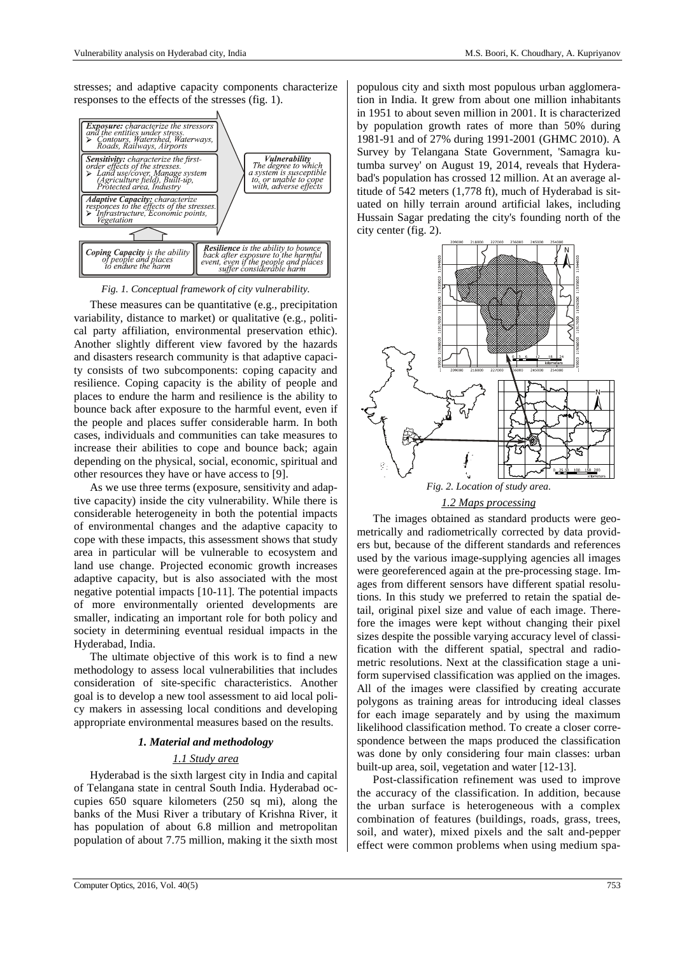stresses; and adaptive capacity components characterize responses to the effects of the stresses (fig. 1).



*Fig. 1. Conceptual framework of city vulnerability.* 

These measures can be quantitative (e.g., precipitation variability, distance to market) or qualitative (e.g., political party affiliation, environmental preservation ethic). Another slightly different view favored by the hazards and disasters research community is that adaptive capacity consists of two subcomponents: coping capacity and resilience. Coping capacity is the ability of people and places to endure the harm and resilience is the ability to bounce back after exposure to the harmful event, even if the people and places suffer considerable harm. In both cases, individuals and communities can take measures to increase their abilities to cope and bounce back; again depending on the physical, social, economic, spiritual and other resources they have or have access to [9].

As we use three terms (exposure, sensitivity and adaptive capacity) inside the city vulnerability. While there is considerable heterogeneity in both the potential impacts of environmental changes and the adaptive capacity to cope with these impacts, this assessment shows that study area in particular will be vulnerable to ecosystem and land use change. Projected economic growth increases adaptive capacity, but is also associated with the most negative potential impacts [10-11]. The potential impacts of more environmentally oriented developments are smaller, indicating an important role for both policy and society in determining eventual residual impacts in the Hyderabad, India.

The ultimate objective of this work is to find a new methodology to assess local vulnerabilities that includes consideration of site-specific characteristics. Another goal is to develop a new tool assessment to aid local policy makers in assessing local conditions and developing appropriate environmental measures based on the results.

### *1. Material and methodology*

# *1.1 Study area*

Hyderabad is the sixth largest city in India and capital of Telangana state in central South India. Hyderabad occupies 650 square kilometers (250 sq mi), along the banks of the Musi River a tributary of Krishna River, it has population of about 6.8 million and metropolitan population of about 7.75 million, making it the sixth most

populous city and sixth most populous urban agglomeration in India. It grew from about one million inhabitants in 1951 to about seven million in 2001. It is characterized by population growth rates of more than 50% during 1981-91 and of 27% during 1991-2001 (GHMC 2010). A Survey by Telangana State Government, 'Samagra kutumba survey' on August 19, 2014, reveals that Hyderabad's population has crossed 12 million. At an average altitude of 542 meters (1,778 ft), much of Hyderabad is situated on hilly terrain around artificial lakes, including Hussain Sagar predating the city's founding north of the city center (fig. 2).



*1.2 Maps processing* 

The images obtained as standard products were geometrically and radiometrically corrected by data providers but, because of the different standards and references used by the various image-supplying agencies all images were georeferenced again at the pre-processing stage. Images from different sensors have different spatial resolutions. In this study we preferred to retain the spatial detail, original pixel size and value of each image. Therefore the images were kept without changing their pixel sizes despite the possible varying accuracy level of classification with the different spatial, spectral and radiometric resolutions. Next at the classification stage a uniform supervised classification was applied on the images. All of the images were classified by creating accurate polygons as training areas for introducing ideal classes for each image separately and by using the maximum likelihood classification method. To create a closer correspondence between the maps produced the classification was done by only considering four main classes: urban built-up area, soil, vegetation and water [12-13].

Post-classification refinement was used to improve the accuracy of the classification. In addition, because the urban surface is heterogeneous with a complex combination of features (buildings, roads, grass, trees, soil, and water), mixed pixels and the salt and-pepper effect were common problems when using medium spa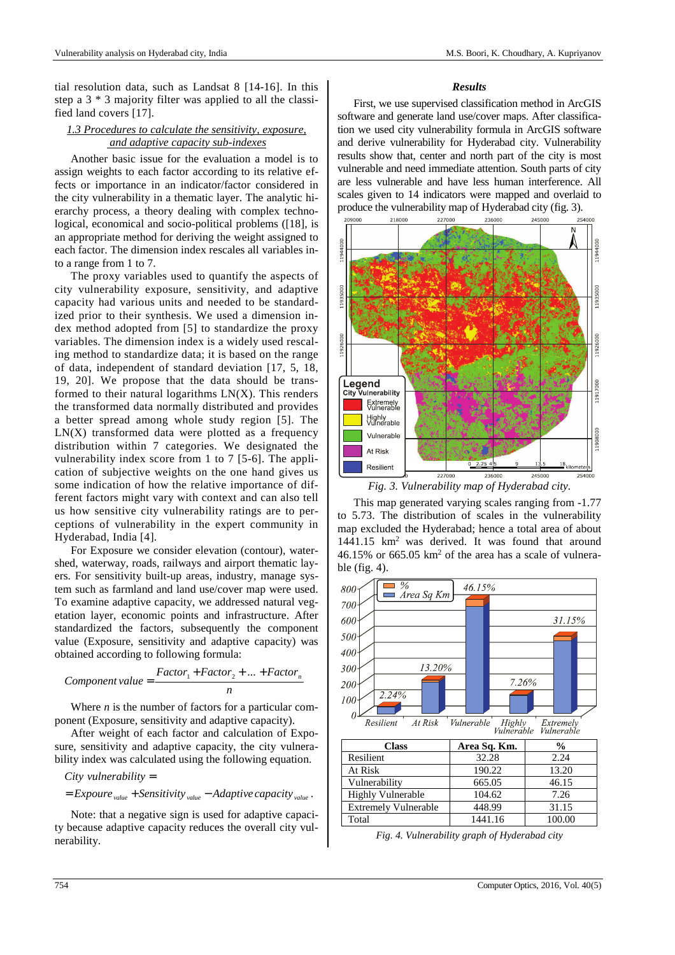tial resolution data, such as Landsat 8 [14-16]. In this step a 3 \* 3 majority filter was applied to all the classified land covers [17].

# *1.3 Procedures to calculate the sensitivity, exposure, and adaptive capacity sub-indexes*

Another basic issue for the evaluation a model is to assign weights to each factor according to its relative effects or importance in an indicator/factor considered in the city vulnerability in a thematic layer. The analytic hierarchy process, a theory dealing with complex technological, economical and socio-political problems ([18], is an appropriate method for deriving the weight assigned to each factor. The dimension index rescales all variables into a range from 1 to 7.

The proxy variables used to quantify the aspects of city vulnerability exposure, sensitivity, and adaptive capacity had various units and needed to be standardized prior to their synthesis. We used a dimension index method adopted from [5] to standardize the proxy variables. The dimension index is a widely used rescaling method to standardize data; it is based on the range of data, independent of standard deviation [17, 5, 18, 19, 20]. We propose that the data should be transformed to their natural logarithms  $LN(X)$ . This renders the transformed data normally distributed and provides a better spread among whole study region [5]. The  $LN(X)$  transformed data were plotted as a frequency distribution within 7 categories. We designated the vulnerability index score from 1 to 7 [5-6]. The application of subjective weights on the one hand gives us some indication of how the relative importance of different factors might vary with context and can also tell us how sensitive city vulnerability ratings are to perceptions of vulnerability in the expert community in Hyderabad, India [4].

For Exposure we consider elevation (contour), watershed, waterway, roads, railways and airport thematic layers. For sensitivity built-up areas, industry, manage system such as farmland and land use/cover map were used. To examine adaptive capacity, we addressed natural vegetation layer, economic points and infrastructure. After standardized the factors, subsequently the component value (Exposure, sensitivity and adaptive capacity) was obtained according to following formula:

$$
Component value = \frac{Factor_1 + Factor_2 + ... + Factor_n}{n}
$$

Where *n* is the number of factors for a particular component (Exposure, sensitivity and adaptive capacity).

After weight of each factor and calculation of Exposure, sensitivity and adaptive capacity, the city vulnerability index was calculated using the following equation.

$$
City \text{ }vunderability =
$$

 $=$  *Expoure*  $_{value}$  + *Sensitivity*  $_{value}$  – *Adaptive capacity*  $_{value}$ .

Note: that a negative sign is used for adaptive capacity because adaptive capacity reduces the overall city vulnerability.

#### *Results*

First, we use supervised classification method in ArcGIS software and generate land use/cover maps. After classification we used city vulnerability formula in ArcGIS software and derive vulnerability for Hyderabad city. Vulnerability results show that, center and north part of the city is most vulnerable and need immediate attention. South parts of city are less vulnerable and have less human interference. All scales given to 14 indicators were mapped and overlaid to produce the vulnerability map of Hyderabad city (fig. 3).



*Fig. 3. Vulnerability map of Hyderabad city.* 

This map generated varying scales ranging from -1.77 to 5.73. The distribution of scales in the vulnerability map excluded the Hyderabad; hence a total area of about  $1441.15$  km<sup>2</sup> was derived. It was found that around  $46.15\%$  or  $665.05 \text{ km}^2$  of the area has a scale of vulnerable (fig. 4).



*Fig. 4. Vulnerability graph of Hyderabad city*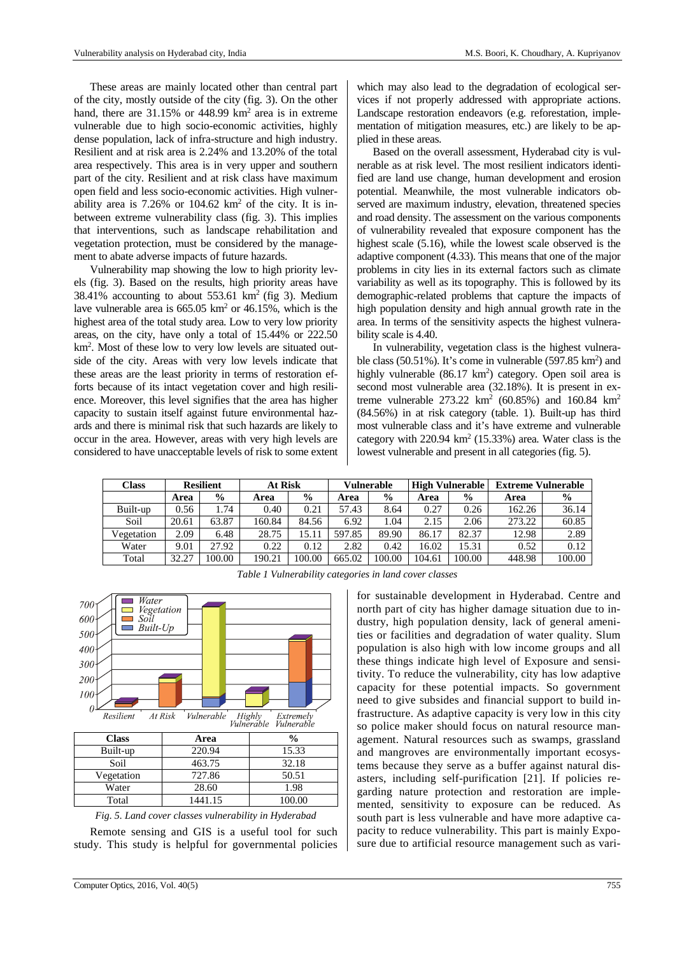These areas are mainly located other than central part of the city, mostly outside of the city (fig. 3). On the other hand, there are  $31.15\%$  or  $448.99$  km<sup>2</sup> area is in extreme vulnerable due to high socio-economic activities, highly dense population, lack of infra-structure and high industry. Resilient and at risk area is 2.24% and 13.20% of the total area respectively. This area is in very upper and southern part of the city. Resilient and at risk class have maximum open field and less socio-economic activities. High vulnerability area is  $7.26\%$  or  $104.62 \text{ km}^2$  of the city. It is inbetween extreme vulnerability class (fig. 3). This implies that interventions, such as landscape rehabilitation and vegetation protection, must be considered by the management to abate adverse impacts of future hazards.

Vulnerability map showing the low to high priority levels (fig. 3). Based on the results, high priority areas have  $38.41\%$  accounting to about  $553.61 \text{ km}^2$  (fig 3). Medium lave vulnerable area is  $665.05 \text{ km}^2$  or 46.15%, which is the highest area of the total study area. Low to very low priority areas, on the city, have only a total of 15.44% or 222.50 km<sup>2</sup> . Most of these low to very low levels are situated outside of the city. Areas with very low levels indicate that these areas are the least priority in terms of restoration efforts because of its intact vegetation cover and high resilience. Moreover, this level signifies that the area has higher capacity to sustain itself against future environmental hazards and there is minimal risk that such hazards are likely to occur in the area. However, areas with very high levels are considered to have unacceptable levels of risk to some extent

which may also lead to the degradation of ecological services if not properly addressed with appropriate actions. Landscape restoration endeavors (e.g. reforestation, implementation of mitigation measures, etc.) are likely to be applied in these areas.

Based on the overall assessment, Hyderabad city is vulnerable as at risk level. The most resilient indicators identified are land use change, human development and erosion potential. Meanwhile, the most vulnerable indicators observed are maximum industry, elevation, threatened species and road density. The assessment on the various components of vulnerability revealed that exposure component has the highest scale (5.16), while the lowest scale observed is the adaptive component (4.33). This means that one of the major problems in city lies in its external factors such as climate variability as well as its topography. This is followed by its demographic-related problems that capture the impacts of high population density and high annual growth rate in the area. In terms of the sensitivity aspects the highest vulnerability scale is 4.40.

In vulnerability, vegetation class is the highest vulnerable class  $(50.51\%)$ . It's come in vulnerable  $(597.85 \text{ km}^2)$  and highly vulnerable (86.17 km<sup>2</sup>) category. Open soil area is second most vulnerable area (32.18%). It is present in extreme vulnerable  $273.22 \text{ km}^2 (60.85\%)$  and  $160.84 \text{ km}^2$ (84.56%) in at risk category (table. 1). Built-up has third most vulnerable class and it's have extreme and vulnerable category with  $220.94 \text{ km}^2$  (15.33%) area. Water class is the lowest vulnerable and present in all categories (fig. 5).

| Class      | <b>Resilient</b> |               | <b>At Risk</b> |               | Vulnerable |               | <b>High Vulnerable</b> |               | <b>Extreme Vulnerable</b> |               |
|------------|------------------|---------------|----------------|---------------|------------|---------------|------------------------|---------------|---------------------------|---------------|
|            | Area             | $\frac{6}{9}$ | Area           | $\frac{6}{9}$ | Area       | $\frac{6}{9}$ | Area                   | $\frac{6}{9}$ | Area                      | $\frac{6}{9}$ |
| Built-up   | 0.56             | 1.74          | 0.40           | 0.21          | 57.43      | 8.64          | 0.27                   | 0.26          | 162.26                    | 36.14         |
| Soil       | 20.61            | 63.87         | 160.84         | 84.56         | 6.92       | .04           | 2.15                   | 2.06          | 273.22                    | 60.85         |
| Vegetation | 2.09             | 6.48          | 28.75          | 15.11         | 597.85     | 89.90         | 86.17                  | 82.37         | 12.98                     | 2.89          |
| Water      | 9.01             | 27.92         | 0.22           | 0.12          | 2.82       | 0.42          | 16.02                  | 15.31         | 0.52                      | 0.12          |
| Total      | 32.27            | 00.00         | 190.21         | 100.00        | 665.02     | 100.00        | 104.61                 | 100.00        | 448.98                    | 100.00        |



*Table 1 Vulnerability categories in land cover classes* 

for sustainable development in Hyderabad. Centre and north part of city has higher damage situation due to industry, high population density, lack of general amenities or facilities and degradation of water quality. Slum population is also high with low income groups and all these things indicate high level of Exposure and sensitivity. To reduce the vulnerability, city has low adaptive capacity for these potential impacts. So government need to give subsides and financial support to build infrastructure. As adaptive capacity is very low in this city so police maker should focus on natural resource management. Natural resources such as swamps, grassland and mangroves are environmentally important ecosystems because they serve as a buffer against natural disasters, including self-purification [21]. If policies regarding nature protection and restoration are implemented, sensitivity to exposure can be reduced. As south part is less vulnerable and have more adaptive capacity to reduce vulnerability. This part is mainly Exposure due to artificial resource management such as vari-

Remote sensing and GIS is a useful tool for such study. This study is helpful for governmental policies

*Fig. 5. Land cover classes vulnerability in Hyderabad*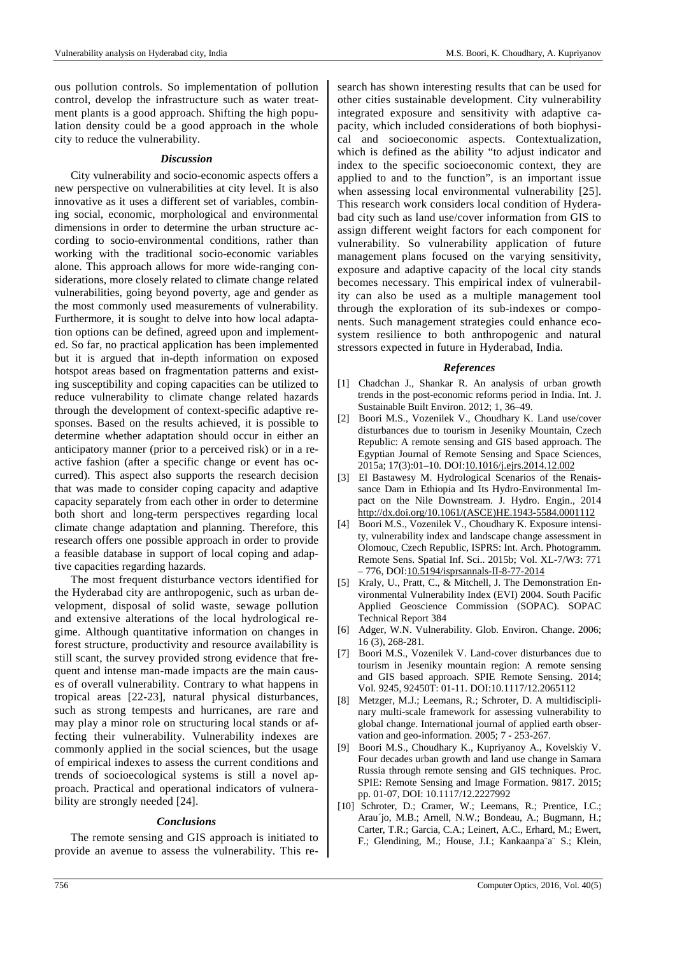ous pollution controls. So implementation of pollution control, develop the infrastructure such as water treatment plants is a good approach. Shifting the high population density could be a good approach in the whole city to reduce the vulnerability.

## *Discussion*

City vulnerability and socio-economic aspects offers a new perspective on vulnerabilities at city level. It is also innovative as it uses a different set of variables, combining social, economic, morphological and environmental dimensions in order to determine the urban structure according to socio-environmental conditions, rather than working with the traditional socio-economic variables alone. This approach allows for more wide-ranging considerations, more closely related to climate change related vulnerabilities, going beyond poverty, age and gender as the most commonly used measurements of vulnerability. Furthermore, it is sought to delve into how local adaptation options can be defined, agreed upon and implemented. So far, no practical application has been implemented but it is argued that in-depth information on exposed hotspot areas based on fragmentation patterns and existing susceptibility and coping capacities can be utilized to reduce vulnerability to climate change related hazards through the development of context-specific adaptive responses. Based on the results achieved, it is possible to determine whether adaptation should occur in either an anticipatory manner (prior to a perceived risk) or in a reactive fashion (after a specific change or event has occurred). This aspect also supports the research decision that was made to consider coping capacity and adaptive capacity separately from each other in order to determine both short and long-term perspectives regarding local climate change adaptation and planning. Therefore, this research offers one possible approach in order to provide a feasible database in support of local coping and adaptive capacities regarding hazards.

The most frequent disturbance vectors identified for the Hyderabad city are anthropogenic, such as urban development, disposal of solid waste, sewage pollution and extensive alterations of the local hydrological regime. Although quantitative information on changes in forest structure, productivity and resource availability is still scant, the survey provided strong evidence that frequent and intense man-made impacts are the main causes of overall vulnerability. Contrary to what happens in tropical areas [22-23], natural physical disturbances, such as strong tempests and hurricanes, are rare and may play a minor role on structuring local stands or affecting their vulnerability. Vulnerability indexes are commonly applied in the social sciences, but the usage of empirical indexes to assess the current conditions and trends of socioecological systems is still a novel approach. Practical and operational indicators of vulnerability are strongly needed [24].

## *Conclusions*

The remote sensing and GIS approach is initiated to provide an avenue to assess the vulnerability. This research has shown interesting results that can be used for other cities sustainable development. City vulnerability integrated exposure and sensitivity with adaptive capacity, which included considerations of both biophysical and socioeconomic aspects. Contextualization, which is defined as the ability "to adjust indicator and index to the specific socioeconomic context, they are applied to and to the function", is an important issue when assessing local environmental vulnerability [25]. This research work considers local condition of Hyderabad city such as land use/cover information from GIS to assign different weight factors for each component for vulnerability. So vulnerability application of future management plans focused on the varying sensitivity, exposure and adaptive capacity of the local city stands becomes necessary. This empirical index of vulnerability can also be used as a multiple management tool through the exploration of its sub-indexes or components. Such management strategies could enhance ecosystem resilience to both anthropogenic and natural stressors expected in future in Hyderabad, India.

#### *References*

- [1] Chadchan J., Shankar R. An analysis of urban growth trends in the post-economic reforms period in India. Int. J. Sustainable Built Environ. 2012; 1, 36–49.
- [2] Boori M.S., Vozenilek V., Choudhary K. Land use/cover disturbances due to tourism in Jeseniky Mountain, Czech Republic: A remote sensing and GIS based approach. The Egyptian Journal of Remote Sensing and Space Sciences, 2015a; 17(3):01–10. DOI:10.1016/j.ejrs.2014.12.002
- [3] El Bastawesy M. Hydrological Scenarios of the Renaissance Dam in Ethiopia and Its Hydro-Environmental Impact on the Nile Downstream. J. Hydro. Engin., 2014 http://dx.doi.org/10.1061/(ASCE)HE.1943-5584.0001112
- [4] Boori M.S., Vozenilek V., Choudhary K. Exposure intensity, vulnerability index and landscape change assessment in Olomouc, Czech Republic, ISPRS: Int. Arch. Photogramm. Remote Sens. Spatial Inf. Sci.. 2015b; Vol. XL-7/W3: 771 – 776, DOI:10.5194/isprsannals-II-8-77-2014
- [5] Kraly, U., Pratt, C., & Mitchell, J. The Demonstration Environmental Vulnerability Index (EVI) 2004. South Pacific Applied Geoscience Commission (SOPAC). SOPAC Technical Report 384
- [6] Adger, W.N. Vulnerability. Glob. Environ. Change. 2006; 16 (3), 268-281.
- [7] Boori M.S., Vozenilek V. Land-cover disturbances due to tourism in Jeseniky mountain region: A remote sensing and GIS based approach. SPIE Remote Sensing. 2014; Vol. 9245, 92450T: 01-11. DOI:10.1117/12.2065112
- [8] Metzger, M.J.; Leemans, R.; Schroter, D. A multidisciplinary multi-scale framework for assessing vulnerability to global change. International journal of applied earth observation and geo-information. 2005; 7 - 253-267.
- Boori M.S., Choudhary K., Kupriyanoy A., Kovelskiy V. Four decades urban growth and land use change in Samara Russia through remote sensing and GIS techniques. Proc. SPIE: Remote Sensing and Image Formation. 9817. 2015; pp. 01-07, DOI: 10.1117/12.2227992
- [10] Schroter, D.; Cramer, W.; Leemans, R.; Prentice, I.C.; Arau´jo, M.B.; Arnell, N.W.; Bondeau, A.; Bugmann, H.; Carter, T.R.; Garcia, C.A.; Leinert, A.C., Erhard, M.; Ewert, F.; Glendining, M.; House, J.I.; Kankaanpa¨a¨ S.; Klein,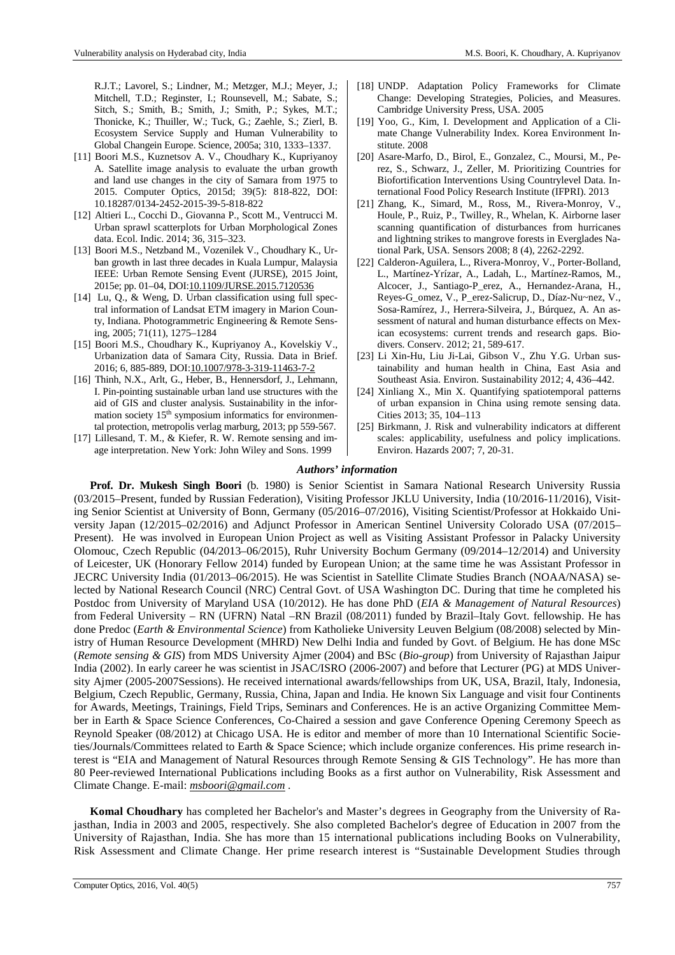R.J.T.; Lavorel, S.; Lindner, M.; Metzger, M.J.; Meyer, J.; Mitchell, T.D.; Reginster, I.; Rounsevell, M.; Sabate, S.; Sitch, S.; Smith, B.; Smith, J.; Smith, P.; Sykes, M.T.; Thonicke, K.; Thuiller, W.; Tuck, G.; Zaehle, S.; Zierl, B. Ecosystem Service Supply and Human Vulnerability to Global Changein Europe. Science, 2005a; 310, 1333–1337.

- [11] Boori M.S., Kuznetsov A. V., Choudhary K., Kupriyanoy A. Satellite image analysis to evaluate the urban growth and land use changes in the city of Samara from 1975 to 2015. Computer Optics, 2015d; 39(5): 818-822, DOI: 10.18287/0134-2452-2015-39-5-818-822
- [12] Altieri L., Cocchi D., Giovanna P., Scott M., Ventrucci M. Urban sprawl scatterplots for Urban Morphological Zones data. Ecol. Indic. 2014; 36, 315–323.
- [13] Boori M.S., Netzband M., Vozenilek V., Choudhary K., Urban growth in last three decades in Kuala Lumpur, Malaysia IEEE: Urban Remote Sensing Event (JURSE), 2015 Joint, 2015e; pp. 01–04, DOI:10.1109/JURSE.2015.7120536
- [14] Lu, Q., & Weng, D. Urban classification using full spectral information of Landsat ETM imagery in Marion County, Indiana. Photogrammetric Engineering & Remote Sensing, 2005; 71(11), 1275–1284
- [15] Boori M.S., Choudhary K., Kupriyanoy A., Kovelskiy V., Urbanization data of Samara City, Russia. Data in Brief. 2016; 6, 885-889, DOI:10.1007/978-3-319-11463-7-2
- [16] Thinh, N.X., Arlt, G., Heber, B., Hennersdorf, J., Lehmann, I. Pin-pointing sustainable urban land use structures with the aid of GIS and cluster analysis. Sustainability in the information society  $15<sup>th</sup>$  symposium informatics for environmental protection, metropolis verlag marburg, 2013; pp 559-567.
- [17] Lillesand, T. M., & Kiefer, R. W. Remote sensing and image interpretation. New York: John Wiley and Sons. 1999
- [18] UNDP. Adaptation Policy Frameworks for Climate Change: Developing Strategies, Policies, and Measures. Cambridge University Press, USA. 2005
- [19] Yoo, G., Kim, I. Development and Application of a Climate Change Vulnerability Index. Korea Environment Institute. 2008
- [20] Asare-Marfo, D., Birol, E., Gonzalez, C., Moursi, M., Perez, S., Schwarz, J., Zeller, M. Prioritizing Countries for Biofortification Interventions Using Countrylevel Data. International Food Policy Research Institute (IFPRI). 2013
- [21] Zhang, K., Simard, M., Ross, M., Rivera-Monroy, V., Houle, P., Ruiz, P., Twilley, R., Whelan, K. Airborne laser scanning quantification of disturbances from hurricanes and lightning strikes to mangrove forests in Everglades National Park, USA. Sensors 2008; 8 (4), 2262-2292.
- [22] Calderon-Aguilera, L., Rivera-Monroy, V., Porter-Bolland, L., Martínez-Yrízar, A., Ladah, L., Martínez-Ramos, M., Alcocer, J., Santiago-P\_erez, A., Hernandez-Arana, H., Reyes-G\_omez, V., P\_erez-Salicrup, D., Díaz-Nu~nez, V., Sosa-Ramírez, J., Herrera-Silveira, J., Búrquez, A. An assessment of natural and human disturbance effects on Mexican ecosystems: current trends and research gaps. Biodivers. Conserv. 2012; 21, 589-617.
- [23] Li Xin-Hu, Liu Ji-Lai, Gibson V., Zhu Y.G. Urban sustainability and human health in China, East Asia and Southeast Asia. Environ. Sustainability 2012; 4, 436–442.
- [24] Xinliang X., Min X. Quantifying spatiotemporal patterns of urban expansion in China using remote sensing data. Cities 2013; 35, 104–113
- [25] Birkmann, J. Risk and vulnerability indicators at different scales: applicability, usefulness and policy implications. Environ. Hazards 2007; 7, 20-31.

## *Authors' information*

**Prof. Dr. Mukesh Singh Boori** (b. 1980) is Senior Scientist in Samara National Research University Russia (03/2015–Present, funded by Russian Federation), Visiting Professor JKLU University, India (10/2016-11/2016), Visiting Senior Scientist at University of Bonn, Germany (05/2016–07/2016), Visiting Scientist/Professor at Hokkaido University Japan (12/2015–02/2016) and Adjunct Professor in American Sentinel University Colorado USA (07/2015– Present). He was involved in European Union Project as well as Visiting Assistant Professor in Palacky University Olomouc, Czech Republic (04/2013–06/2015), Ruhr University Bochum Germany (09/2014–12/2014) and University of Leicester, UK (Honorary Fellow 2014) funded by European Union; at the same time he was Assistant Professor in JECRC University India (01/2013–06/2015). He was Scientist in Satellite Climate Studies Branch (NOAA/NASA) selected by National Research Council (NRC) Central Govt. of USA Washington DC. During that time he completed his Postdoc from University of Maryland USA (10/2012). He has done PhD (*EIA & Management of Natural Resources*) from Federal University – RN (UFRN) Natal –RN Brazil (08/2011) funded by Brazil–Italy Govt. fellowship. He has done Predoc (*Earth & Environmental Science*) from Katholieke University Leuven Belgium (08/2008) selected by Ministry of Human Resource Development (MHRD) New Delhi India and funded by Govt. of Belgium. He has done MSc (*Remote sensing & GIS*) from MDS University Ajmer (2004) and BSc (*Bio-group*) from University of Rajasthan Jaipur India (2002). In early career he was scientist in JSAC/ISRO (2006-2007) and before that Lecturer (PG) at MDS University Ajmer (2005-2007Sessions). He received international awards/fellowships from UK, USA, Brazil, Italy, Indonesia, Belgium, Czech Republic, Germany, Russia, China, Japan and India. He known Six Language and visit four Continents for Awards, Meetings, Trainings, Field Trips, Seminars and Conferences. He is an active Organizing Committee Member in Earth & Space Science Conferences, Co-Chaired a session and gave Conference Opening Ceremony Speech as Reynold Speaker (08/2012) at Chicago USA. He is editor and member of more than 10 International Scientific Societies/Journals/Committees related to Earth & Space Science; which include organize conferences. His prime research interest is "EIA and Management of Natural Resources through Remote Sensing & GIS Technology". He has more than 80 Peer-reviewed International Publications including Books as a first author on Vulnerability, Risk Assessment and Climate Change. E-mail: *msboori@gmail.com* .

**Komal Choudhary** has completed her Bachelor's and Master's degrees in Geography from the University of Rajasthan, India in 2003 and 2005, respectively. She also completed Bachelor's degree of Education in 2007 from the University of Rajasthan, India. She has more than 15 international publications including Books on Vulnerability, Risk Assessment and Climate Change. Her prime research interest is "Sustainable Development Studies through